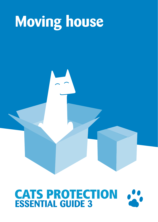## **Moving house**

# **CATS PROTECTION**<br>**ESSENTIAL GUIDE 3**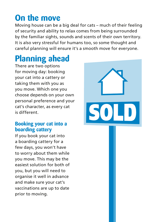## **On the move**

Moving house can be a big deal for cats – much of their feeling of security and ability to relax comes from being surrounded by the familiar sights, sounds and scents of their own territory. It is also very stressful for humans too, so some thought and careful planning will ensure it's a smooth move for everyone.

## **Planning ahead**

There are two options for moving day: booking your cat into a cattery or taking them with you as you move. Which one you choose depends on your own personal preference and your cat's character, as every cat is different.

#### **Booking your cat into a boarding cattery**

If you book your cat into a boarding cattery for a few days, you won't have to worry about them while you move. This may be the easiest solution for both of you, but you will need to organise it well in advance and make sure your cat's vaccinations are up to date prior to moving.

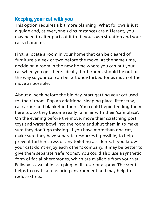#### **Keeping your cat with you**

This option requires a bit more planning. What follows is just a guide and, as everyone's circumstances are different, you may need to alter parts of it to fit your own situation and your cat's character.

First, allocate a room in your home that can be cleared of furniture a week or two before the move. At the same time, decide on a room in the new home where you can put your cat when you get there. Ideally, both rooms should be out of the way so your cat can be left undisturbed for as much of the move as possible.

About a week before the big day, start getting your cat used to 'their' room. Pop an additional sleeping place, litter tray, cat carrier and blanket in there. You could begin feeding them here too so they become really familiar with their 'safe place'. On the evening before the move, move their scratching post, toys and water bowl into the room and shut them in to make sure they don't go missing. If you have more than one cat, make sure they have separate resources if possible, to help prevent further stress or any toileting accidents. If you know your cats don't enjoy each other's company, it may be better to give them separate 'safe rooms'. You could also use a synthetic form of facial pheromones, which are available from your vet. Feliway is available as a plug in diffuser or a spray. The scent helps to create a reassuring environment and may help to reduce stress.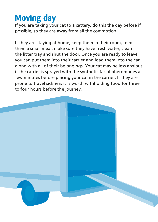### **Moving day**

If you are taking your cat to a cattery, do this the day before if possible, so they are away from all the commotion.

If they are staying at home, keep them in their room, feed them a small meal, make sure they have fresh water, clean the litter tray and shut the door. Once you are ready to leave, you can put them into their carrier and load them into the car along with all of their belongings. Your cat may be less anxious if the carrier is sprayed with the synthetic facial pheromones a few minutes before placing your cat in the carrier. If they are prone to travel sickness it is worth withholding food for three to four hours before the journey.

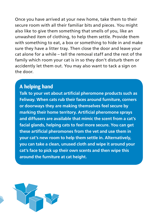Once you have arrived at your new home, take them to their secure room with all their familiar bits and pieces. You might also like to give them something that smells of you, like an unwashed item of clothing, to help them settle. Provide them with something to eat, a box or something to hide in and make sure they have a litter tray. Then close the door and leave your cat alone for a while – tell the removal staff and the rest of the family which room your cat is in so they don't disturb them or accidently let them out. You may also want to tack a sign on the door.

#### **A helping hand**

**Talk to your vet about artificial pheromone products such as Feliway. When cats rub their faces around furniture, corners or doorways they are making themselves feel secure by marking their home territory. Artificial pheromone sprays and diffusers are available that mimic the scent from a cat's facial glands, helping cats to feel more secure. You can get these artificial pheromones from the vet and use them in your cat's new room to help them settle in. Alternatively, you can take a clean, unused cloth and wipe it around your cat's face to pick up their own scents and then wipe this around the furniture at cat height.** 

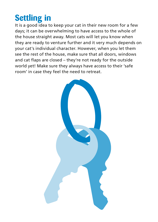## **Settling in**

It is a good idea to keep your cat in their new room for a few days; it can be overwhelming to have access to the whole of the house straight away. Most cats will let you know when they are ready to venture further and it very much depends on your cat's individual character. However, when you let them see the rest of the house, make sure that all doors, windows and cat flaps are closed – they're not ready for the outside world yet! Make sure they always have access to their 'safe room' in case they feel the need to retreat.

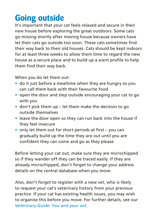## **Going outside**

It's important that your cat feels relaxed and secure in their new house before exploring the great outdoors. Some cats go missing shortly after moving house because owners have let their cats go outside too soon. These cats sometimes find their way back to their old houses. Cats should be kept indoors for at least three weeks to allow them time to regard the new house as a secure place and to build up a scent profile to help them find their way back.

When you do let them out:

- **•** do it just before a mealtime when they are hungry so you can call them back with their favourite food
- **•** open the door and step outside encouraging your cat to go with you
- **•** don't pick them up let them make the decision to go outside themselves
- **•** leave the door open so they can run back into the house if they feel insecure
- **•** only let them out for short periods at first you can gradually build up the time they are out until you are confident they can come and go as they please

Before letting your cat out, make sure they are microchipped so if they wander off they can be traced easily. If they are already microchipped, don't forget to change your address details on the central database when you move.

Also, don't forget to register with a new vet, who is likely to request your cat's veterinary history from your previous practice. If your cat has existing health issues, you may wish to organise this before you move. For further details, see our *Veterinary Guide: You and your vet*.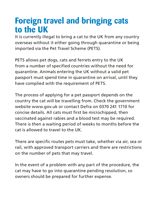#### **Foreign travel and bringing cats to the UK**

It is currently illegal to bring a cat to the UK from any country overseas without it either going through quarantine or being imported via the Pet Travel Scheme (PETS).

PETS allows pet dogs, cats and ferrets entry to the UK from a number of specified countries without the need for quarantine. Animals entering the UK without a valid pet passport must spend time in quarantine on arrival, until they have complied with the requirement of PETS.

The process of applying for a pet passport depends on the country the cat will be travelling from. Check the government website www.gov.uk or contact Defra on 0370 241 1710 for concise details. All cats must first be microchipped, then vaccinated against rabies and a blood test may be required. There is then a waiting period of weeks to months before the cat is allowed to travel to the UK.

There are specific routes pets must take, whether via air, sea or rail, with approved transport carriers and there are restrictions on the number of pets that may travel.

In the event of a problem with any part of the procedure, the cat may have to go into quarantine pending resolution, so owners should be prepared for further expense.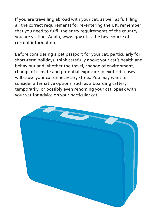If you are travelling abroad with your cat, as well as fulfilling all the correct requirements for re-entering the UK, remember that you need to fulfil the entry requirements of the country you are visiting. Again, www.gov.uk is the best source of current information.

Before considering a pet passport for your cat, particularly for short-term holidays, think carefully about your cat's health and behaviour and whether the travel, change of environment, change of climate and potential exposure to exotic diseases will cause your cat unnecessary stress. You may want to consider alternative options, such as a boarding cattery temporarily, or possibly even rehoming your cat. Speak with your vet for advice on your particular cat.

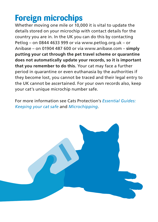## **Foreign microchips**

Whether moving one mile or 10,000 it is vital to update the details stored on your microchip with contact details for the country you are in. In the UK you can do this by contacting Petlog – on 0844 4633 999 or via www.petlog.org.uk – or Anibase – on 01904 487 600 or via www.anibase.com – **simply putting your cat through the pet travel scheme or quarantine does not automatically update your records, so it is important that you remember to do this.** Your cat may face a further period in quarantine or even euthanasia by the authorities if they become lost, you cannot be traced and their legal entry to the UK cannot be ascertained. For your own records also, keep your cat's unique microchip number safe.

For more information see Cats Protection's *Essential Guides: Keeping your cat safe* and *Microchipping*.

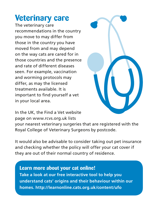#### **Veterinary care**

The veterinary care recommendations in the country you move to may differ from those in the country you have moved from and may depend on the way cats are cared for in those countries and the presence and rate of different diseases seen. For example, vaccination and worming protocols may differ, as may the licensed treatments available. It is important to find yourself a vet in your local area.



In the UK, the Find a Vet website page on www.rcvs.org.uk lists

your nearest veterinary surgeries that are registered with the Royal College of Veterinary Surgeons by postcode.

It would also be advisable to consider taking out pet insurance and checking whether the policy will offer your cat cover if they are out of their normal country of residence.

#### **Learn more about your cat online!**

**Take a look at our free interactive tool to help you understand cats' origins and their behaviour within our homes. http://learnonline.cats.org.uk/content/ufo**